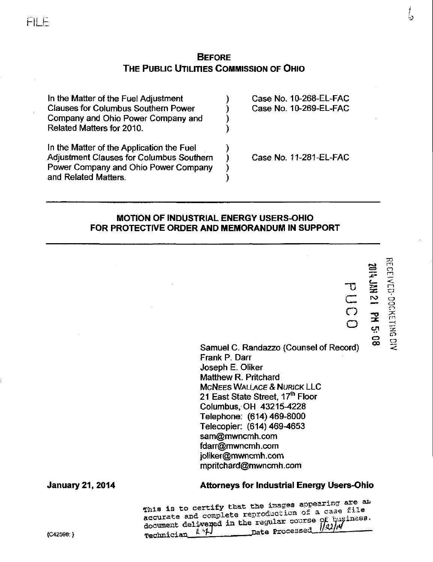# **BEFORE** THE PUBLIC UTILITIES COMMISSION OF OHIO

د :<br>د :

| In the Matter of the Fuel Adjustment            | Case No. 10-268-EL-FAC |
|-------------------------------------------------|------------------------|
| <b>Clauses for Columbus Southern Power</b>      | Case No. 10-269-EL-FAC |
| Company and Ohio Power Company and              |                        |
| Related Matters for 2010.                       |                        |
| In the Matter of the Application the Fuel       |                        |
| <b>Adjustment Clauses for Columbus Southern</b> | Case No. 11-281-EL-FAC |
| Power Company and Ohio Power Company            |                        |
| and Related Matters.                            |                        |

## MOTION OF INDUSTRIAL ENERGY USERS-OHIO FOR PROTECTIVE ORDER AND MEMORANDUM IN SUPPORT

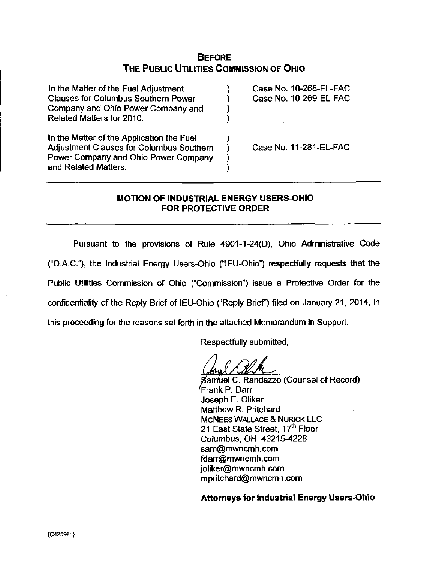# **BEFORE** THE PUBLIC UTILITIES COMMISSION OF OHIO

| In the Matter of the Fuel Adjustment<br><b>Clauses for Columbus Southern Power</b><br>Company and Ohio Power Company and<br>Related Matters for 2010. | Case No. 10-268-EL-FAC<br>Case No. 10-269-EL-FAC |
|-------------------------------------------------------------------------------------------------------------------------------------------------------|--------------------------------------------------|
| In the Matter of the Application the Fuel<br>Adjustment Clauses for Columbus Southern<br>Power Company and Ohio Power Company<br>and Related Matters. | Case No. 11-281-EL-FAC                           |

# MOTION OF INDUSTRIAL ENERGY USERS-OHIO FOR PROTECTIVE ORDER

Pursuant to the provisions of Rule 4901-1-24(0), Ohio Administrative Code ("O.A.C."), the Industrial Energy Users-Ohio ("lEU-Ohio") respectfully requests that the Public Utilities Commission of Ohio ("Commission") issue a Protective Order for the confidentiality of the Reply Brief of IEU-Ohio ("Reply Brief") filed on January 21, 2014, in this proceeding for the reasons set forth in the attached Memorandum in Support.

Respectfully submitted,

'/MA^

gamtiel C. Randazzo (Counsel of Record) Trank P. Darr Joseph E. Oliker Matthew R. Pritchard MCNEES WALLACE & NURICK LLC 21 East State Street, 17<sup>th</sup> Floor Columbus, OH 43215-4228 [sam@mwncmh.com](mailto:sam@mwncmh.com) [fdarr@mwncmh.com](mailto:fdarr@mwncmh.com) [joliker@mwncmh.com](mailto:joliker@mwncmh.com) [mpritchard@mwncmh.com](mailto:mpritchard@mwncmh.com)

Attorneys for Industrial Energy Users-Ohio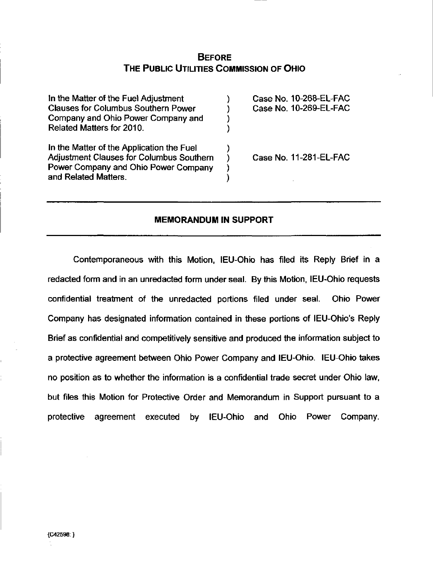# **BEFORE** THE PUBLIC UTILITIES COMMISSION OF OHIO

| In the Matter of the Fuel Adjustment                                                                                                                         | Case No. 10-268-EL-FAC |
|--------------------------------------------------------------------------------------------------------------------------------------------------------------|------------------------|
| <b>Clauses for Columbus Southern Power</b>                                                                                                                   | Case No. 10-269-EL-FAC |
| Company and Ohio Power Company and                                                                                                                           |                        |
| Related Matters for 2010.                                                                                                                                    |                        |
| In the Matter of the Application the Fuel<br><b>Adjustment Clauses for Columbus Southern</b><br>Power Company and Ohio Power Company<br>and Related Matters. | Case No. 11-281-EL-FAC |

## MEMORANDUM IN SUPPORT

Contemporaneous with this Motion, lEU-Ohio has filed its Reply Brief in a redacted form and in an unredacted form under seal. By this Motion, lEU-Ohio requests confidential treatment of the unredacted portions filed under seal. Ohio Power Company has designated information contained in these portions of lEU-Ohio's Reply Brief as confidential and competitively sensitive and produced the information subject to a protective agreement between Ohio Power Company and lEU-Ohio. lEU-Ohio takes no position as to whether the information is a confidential trade secret under Ohio law, but files this Motion for Protective Order and Memorandum in Support pursuant to a protective agreement executed by lEU-Ohio and Ohio Power Company.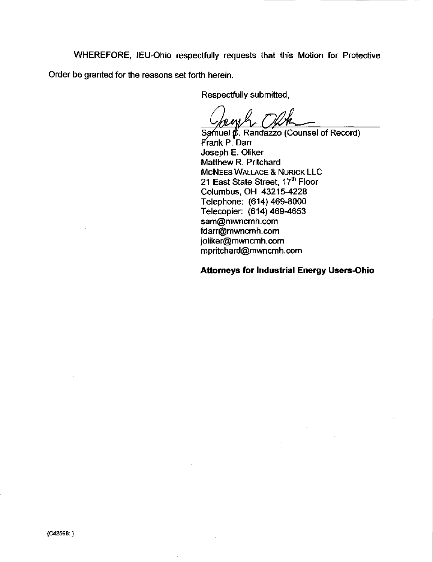WHEREFORE, lEU-Ohio respectfully requests that this Motion for Protective Order be granted for the reasons set forth herein.

Respectfully submitted.

 $\mathbb{Q}/\mathbb{A}$ 

Samuel  $\pmb{\mu}$ . Randazzo (Counsel of Record) Prank P. Darr Joseph E. Oliker Matthew R. Pritchard MCNEES WALLACE & NURICK LLC 21 East State Street, 17<sup>th</sup> Floor Columbus, OH 43215-4228 Telephone: (614) 469-8000 Telecopier: (614)469-4653 [sam@mwncmh.com](mailto:sam@mwncmh.com)  [fdarr@mwncmh.com](mailto:fdarr@mwncmh.com)  [joliker@mwncmh.com](mailto:joliker@mwncmh.com)  [mpritchard@mwncmh.com](mailto:mpritchard@mwncmh.com) 

Attorneys for Industrial Energy Users-Ohio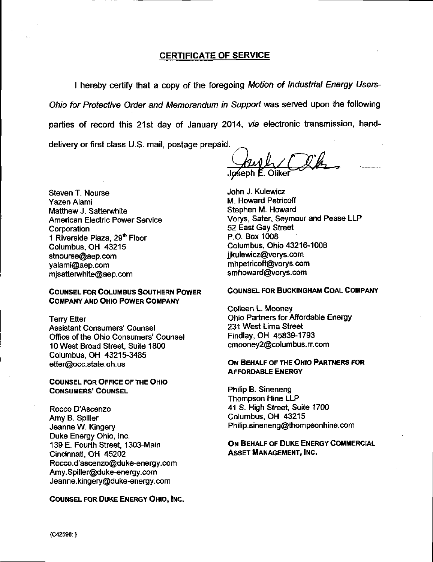### CERTIFICATE OF SERVICE

I hereby certify that a copy of the foregoing Motion of Industrial Energy Users-Ohio for Protective Order and Memorandum in Support was served upon the following parties of record this 21st day of January 2014, via electronic transmission, handdelivery or first class U.S. mail, postage prepaid.

Steven T. Nourse Yazen Alami Matthew J. Satterwhite American Electric Power Service **Corporation** 1 Riverside Plaza, 29<sup>th</sup> Floor Columbus, OH 43215 [stnourse@aep.com](mailto:stnourse@aep.com)  [yalaml@aep.com](mailto:yalaml@aep.com) misatterw[hite@aep.com](mailto:hite@aep.com)

#### COUNSEL FOR COLUMBUS SOUTHERN POWER COMPANY AND OHIO POWER COMPANY

Terry Etter Assistant Consumers' Counsel Office of the Ohio Consumers' Counsel 10 West Broad Street, Suite 1800 Columbus, OH 43215-3485 [etter@occ.state.oh.us](mailto:etter@occ.state.oh.us) 

COUNSEL FOR OFFICE OF THE OHIO CONSUMERS' COUNSEL

Rocco D'Ascenzo Amy B. Spiller Jeanne W. Kingery Duke Energy Ohio, Inc. 139 E. Fourth Street, 1303-Main Cincinnati, OH 45202 Rocco.d'[ascenzo@duke-energy.com](mailto:ascenzo@duke-energy.com)  [Amy.Spiller@duke-energy.com](mailto:Amy.Spiller@duke-energy.com)  [Jeanne.kingery@duke-energy.com](mailto:Jeanne.kingery@duke-energy.com) 

COUNSEL FOR DUKE ENERGY OHIO, INC.

John J. Kulewicz M. Howard Petricoff Stephen M. Howard Vorys, Safer, Seymour and Pease LLP 52 East Gay Street P.O. Box 1008 Columbus, Ohio 43216-1008 [jjkulewicz@vorys.com](mailto:jjkulewicz@vorys.com)  [mhpetricoff@vorys.com](mailto:mhpetricoff@vorys.com)  [smhoward@vorys.com](mailto:smhoward@vorys.com) 

#### COUNSEL FOR BUCKINGHAM COAL COMPANY

Colleen L. Mooney Ohio Partners for Affordable Energy 231 West Lima Street Findlay. OH 45839-1793 [cmooney2@columbus.rr.com](mailto:cmooney2@columbus.rr.com) 

#### ON BEHALF OF THE OHIO PARTNERS FOR AFFORDABLE ENERGY

Philip B. Sineneng Thompson Hine LLP 41 S. High Street, Suite 1700 Columbus. OH 43215 [Philip.sineneng@thompsonhine.com](mailto:Philip.sineneng@thompsonhine.com) 

#### ON BEHALF OF DUKE ENERGY COMMERCIAL ASSET MANAGEMENT, INC.